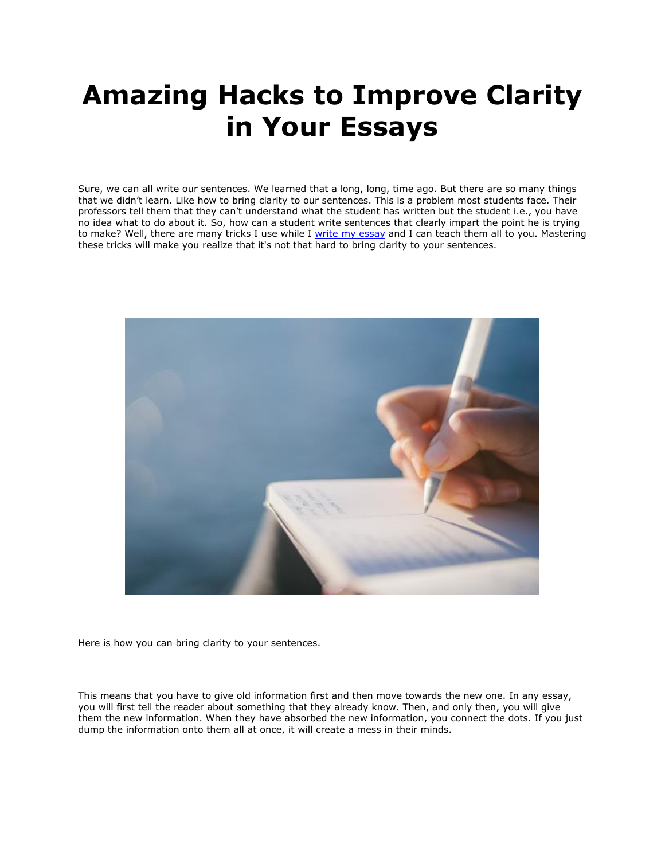## **Amazing Hacks to Improve Clarity in Your Essays**

Sure, we can all write our sentences. We learned that a long, long, time ago. But there are so many things that we didn't learn. Like how to bring clarity to our sentences. This is a problem most students face. Their professors tell them that they can't understand what the student has written but the student i.e., you have no idea what to do about it. So, how can a student write sentences that clearly impart the point he is trying to make? Well, there are many tricks I use while I [write my essay](https://www.writemyessay.help/) and I can teach them all to you. Mastering these tricks will make you realize that it's not that hard to bring clarity to your sentences.



Here is how you can bring clarity to your sentences.

This means that you have to give old information first and then move towards the new one. In any essay, you will first tell the reader about something that they already know. Then, and only then, you will give them the new information. When they have absorbed the new information, you connect the dots. If you just dump the information onto them all at once, it will create a mess in their minds.